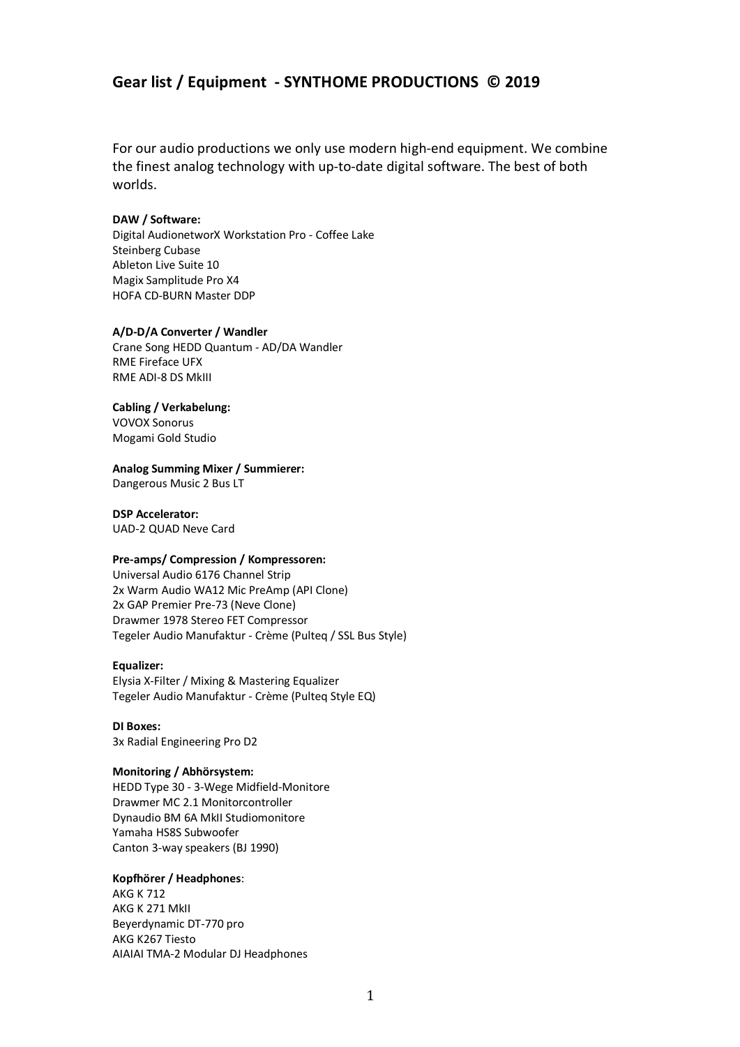# **Gear list / Equipment - SYNTHOME PRODUCTIONS © 2019**

For our audio productions we only use modern high-end equipment. We combine the finest analog technology with up-to-date digital software. The best of both worlds.

#### **DAW / Software:**

Digital AudionetworX Workstation Pro - Coffee Lake Steinberg Cubase Ableton Live Suite 10 Magix Samplitude Pro X4 HOFA CD-BURN Master DDP

#### **A/D-D/A Converter / Wandler**

Crane Song HEDD Quantum - AD/DA Wandler RME Fireface UFX RME ADI-8 DS MkIII

#### **Cabling / Verkabelung:**

VOVOX Sonorus Mogami Gold Studio

#### **Analog Summing Mixer / Summierer:**

Dangerous Music 2 Bus LT

**DSP Accelerator:** UAD-2 QUAD Neve Card

#### **Pre-amps/ Compression / Kompressoren:**

Universal Audio 6176 Channel Strip 2x Warm Audio WA12 Mic PreAmp (API Clone) 2x GAP Premier Pre-73 (Neve Clone) Drawmer 1978 Stereo FET Compressor Tegeler Audio Manufaktur - Crème (Pulteq / SSL Bus Style)

#### **Equalizer:**

Elysia X-Filter / Mixing & Mastering Equalizer Tegeler Audio Manufaktur - Crème (Pulteq Style EQ)

**DI Boxes:** 3x Radial Engineering Pro D2

# **Monitoring / Abhörsystem:**

HEDD Type 30 - 3-Wege Midfield-Monitore Drawmer MC 2.1 Monitorcontroller Dynaudio BM 6A MkII Studiomonitore Yamaha HS8S Subwoofer Canton 3-way speakers (BJ 1990)

# **Kopfhörer / Headphones**:

AKG K 712 AKG K 271 MkII Beyerdynamic DT-770 pro AKG K267 Tiesto AIAIAI TMA-2 Modular DJ Headphones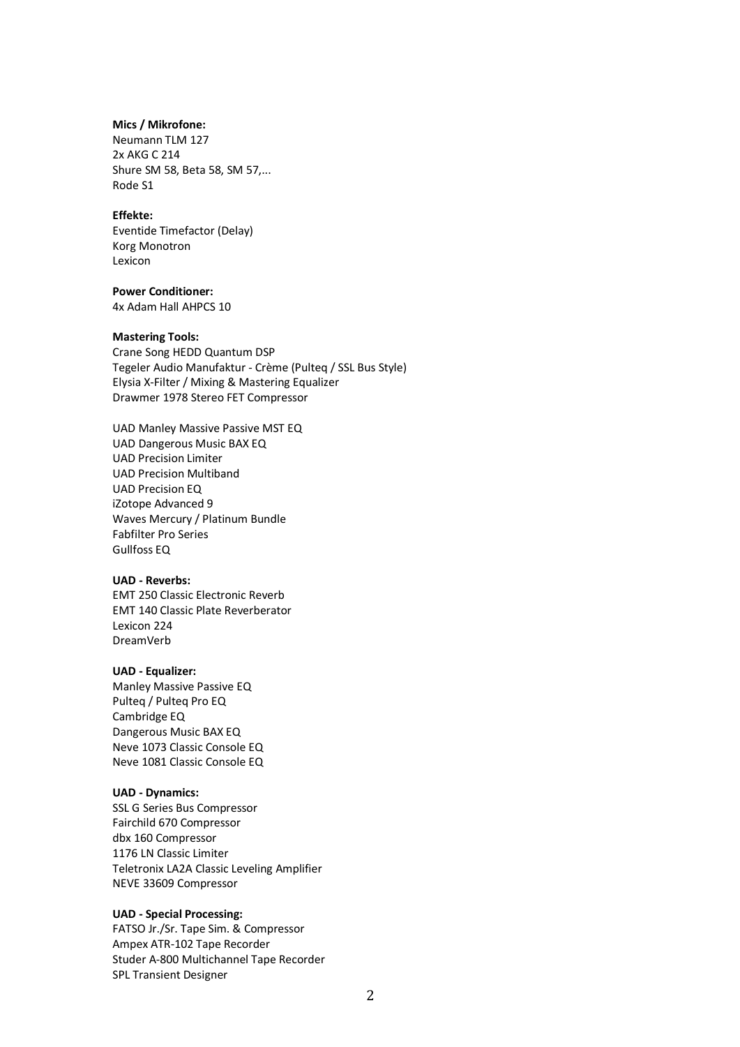#### **Mics / Mikrofone:**

Neumann TLM 127 2x AKG C 214 Shure SM 58, Beta 58, SM 57,... Rode S1

#### **Effekte:**

Eventide Timefactor (Delay) Korg Monotron Lexicon

#### **Power Conditioner:**

4x Adam Hall AHPCS 10

#### **Mastering Tools:**

Crane Song HEDD Quantum DSP Tegeler Audio Manufaktur - Crème (Pulteq / SSL Bus Style) Elysia X-Filter / Mixing & Mastering Equalizer Drawmer 1978 Stereo FET Compressor

UAD Manley Massive Passive MST EQ UAD Dangerous Music BAX EQ UAD Precision Limiter UAD Precision Multiband UAD Precision EQ iZotope Advanced 9 Waves Mercury / Platinum Bundle Fabfilter Pro Series Gullfoss EQ

### **UAD - Reverbs:**

EMT 250 Classic Electronic Reverb EMT 140 Classic Plate Reverberator Lexicon 224 DreamVerb

### **UAD - Equalizer:**

Manley Massive Passive EQ Pulteq / Pulteq Pro EQ Cambridge EQ Dangerous Music BAX EQ Neve 1073 Classic Console EQ Neve 1081 Classic Console EQ

#### **UAD - Dynamics:**

SSL G Series Bus Compressor Fairchild 670 Compressor dbx 160 Compressor 1176 LN Classic Limiter Teletronix LA2A Classic Leveling Amplifier NEVE 33609 Compressor

#### **UAD - Special Processing:**

FATSO Jr./Sr. Tape Sim. & Compressor Ampex ATR-102 Tape Recorder Studer A-800 Multichannel Tape Recorder SPL Transient Designer